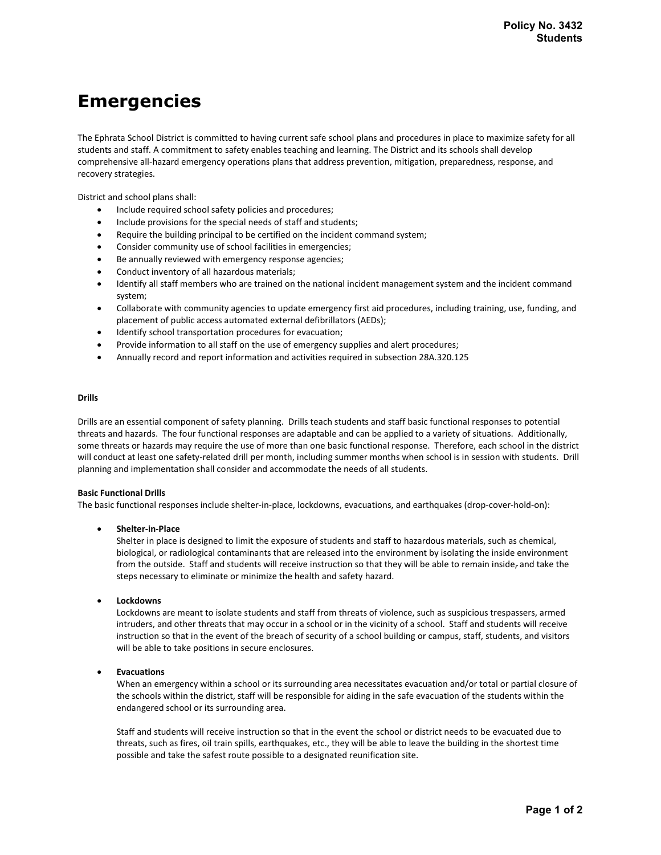# Emergencies

The Ephrata School District is committed to having current safe school plans and procedures in place to maximize safety for all students and staff. A commitment to safety enables teaching and learning. The District and its schools shall develop comprehensive all-hazard emergency operations plans that address prevention, mitigation, preparedness, response, and recovery strategies.

District and school plans shall:

- Include required school safety policies and procedures;
- Include provisions for the special needs of staff and students;
- Require the building principal to be certified on the incident command system;
- Consider community use of school facilities in emergencies;
- Be annually reviewed with emergency response agencies;
- Conduct inventory of all hazardous materials;
- Identify all staff members who are trained on the national incident management system and the incident command system;
- Collaborate with community agencies to update emergency first aid procedures, including training, use, funding, and placement of public access automated external defibrillators (AEDs);
- Identify school transportation procedures for evacuation;
- Provide information to all staff on the use of emergency supplies and alert procedures;
- Annually record and report information and activities required in subsection 28A.320.125

# Drills

Drills are an essential component of safety planning. Drills teach students and staff basic functional responses to potential threats and hazards. The four functional responses are adaptable and can be applied to a variety of situations. Additionally, some threats or hazards may require the use of more than one basic functional response. Therefore, each school in the district will conduct at least one safety-related drill per month, including summer months when school is in session with students. Drill planning and implementation shall consider and accommodate the needs of all students.

# Basic Functional Drills

The basic functional responses include shelter-in-place, lockdowns, evacuations, and earthquakes (drop-cover-hold-on):

# Shelter-in-Place

Shelter in place is designed to limit the exposure of students and staff to hazardous materials, such as chemical, biological, or radiological contaminants that are released into the environment by isolating the inside environment from the outside. Staff and students will receive instruction so that they will be able to remain inside, and take the steps necessary to eliminate or minimize the health and safety hazard.

Lockdowns

Lockdowns are meant to isolate students and staff from threats of violence, such as suspicious trespassers, armed intruders, and other threats that may occur in a school or in the vicinity of a school. Staff and students will receive instruction so that in the event of the breach of security of a school building or campus, staff, students, and visitors will be able to take positions in secure enclosures.

# Evacuations

When an emergency within a school or its surrounding area necessitates evacuation and/or total or partial closure of the schools within the district, staff will be responsible for aiding in the safe evacuation of the students within the endangered school or its surrounding area.

Staff and students will receive instruction so that in the event the school or district needs to be evacuated due to threats, such as fires, oil train spills, earthquakes, etc., they will be able to leave the building in the shortest time possible and take the safest route possible to a designated reunification site.